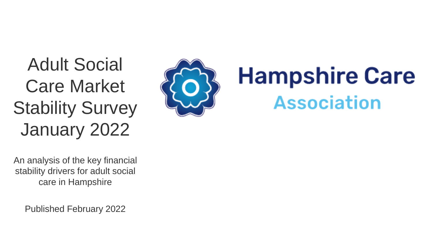Adult Social Care Market Stability Survey January 2022



# **Hampshire Care Association**

An analysis of the key financial stability drivers for adult social care in Hampshire

Published February 2022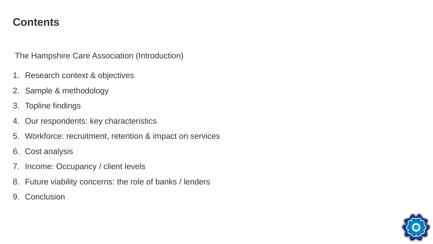#### **Contents**

The Hampshire Care Association (Introduction)

- 1. Research context & objectives
- 2. Sample & methodology
- 3. Topline findings
- 4. Our respondents: key characteristics
- 5. Workforce: recruitment, retention & impact on services
- 6. Cost analysis
- 7. Income: Occupancy / client levels
- 8. Future viability concerns: the role of banks / lenders
- 9. Conclusion

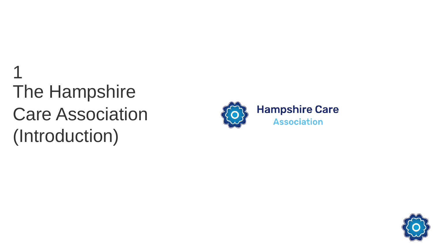## The Hampshire Care Association (Introduction) 1



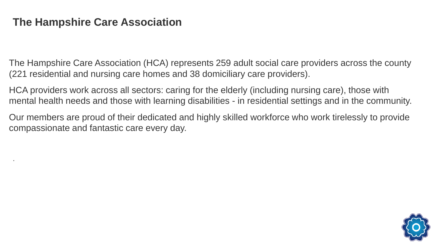#### **The Hampshire Care Association**

.

The Hampshire Care Association (HCA) represents 259 adult social care providers across the county (221 residential and nursing care homes and 38 domiciliary care providers).

HCA providers work across all sectors: caring for the elderly (including nursing care), those with mental health needs and those with learning disabilities - in residential settings and in the community.

Our members are proud of their dedicated and highly skilled workforce who work tirelessly to provide compassionate and fantastic care every day.

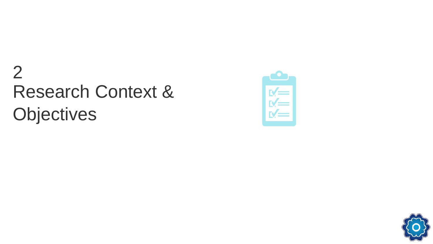## Research Context & **Objectives** 2



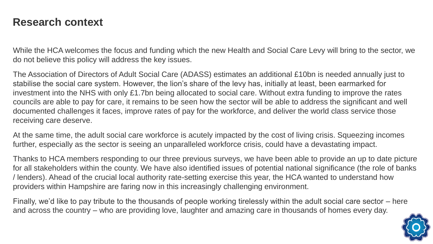#### **Research context**

While the HCA welcomes the focus and funding which the new Health and Social Care Levy will bring to the sector, we do not believe this policy will address the key issues.

The Association of Directors of Adult Social Care (ADASS) estimates an additional £10bn is needed annually just to stabilise the social care system. However, the lion's share of the levy has, initially at least, been earmarked for investment into the NHS with only £1.7bn being allocated to social care. Without extra funding to improve the rates councils are able to pay for care, it remains to be seen how the sector will be able to address the significant and well documented challenges it faces, improve rates of pay for the workforce, and deliver the world class service those receiving care deserve.

At the same time, the adult social care workforce is acutely impacted by the cost of living crisis. Squeezing incomes further, especially as the sector is seeing an unparalleled workforce crisis, could have a devastating impact.

Thanks to HCA members responding to our three previous surveys, we have been able to provide an up to date picture for all stakeholders within the county. We have also identified issues of potential national significance (the role of banks / lenders). Ahead of the crucial local authority rate-setting exercise this year, the HCA wanted to understand how providers within Hampshire are faring now in this increasingly challenging environment.

Finally, we'd like to pay tribute to the thousands of people working tirelessly within the adult social care sector – here and across the country – who are providing love, laughter and amazing care in thousands of homes every day.

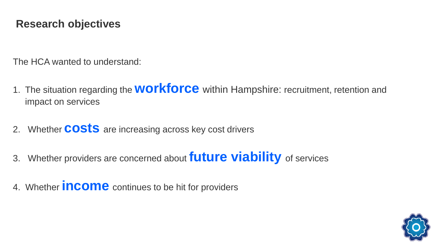#### **Research objectives**

The HCA wanted to understand:

- 1. The situation regarding the **workforce** within Hampshire: recruitment, retention and impact on services
- 2. Whether **costs** are increasing across key cost drivers
- 3. Whether providers are concerned about **future viability** of services
- 4. Whether **income** continues to be hit for providers

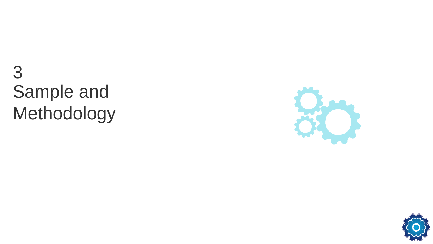## Sample and Methodology 3



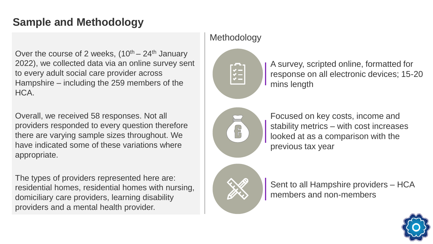### **Sample and Methodology**

Over the course of 2 weeks,  $(10^{th} – 24^{th}$  January 2022), we collected data via an online survey sent to every adult social care provider across Hampshire – including the 259 members of the HCA.

Overall, we received 58 responses. Not all providers responded to every question therefore there are varying sample sizes throughout. We have indicated some of these variations where appropriate.

The types of providers represented here are: residential homes, residential homes with nursing, domiciliary care providers, learning disability providers and a mental health provider.

#### **Methodology**



A survey, scripted online, formatted for response on all electronic devices; 15-20 mins length



Focused on key costs, income and stability metrics – with cost increases looked at as a comparison with the previous tax year



Sent to all Hampshire providers – HCA members and non-members

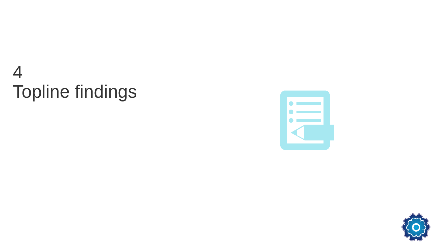## Topline findings 4



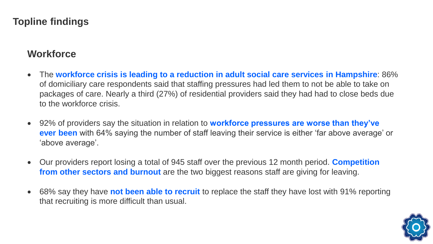#### **Topline findings**

#### **Workforce**

- The **workforce crisis is leading to a reduction in adult social care services in Hampshire**: 86% of domiciliary care respondents said that staffing pressures had led them to not be able to take on packages of care. Nearly a third (27%) of residential providers said they had had to close beds due to the workforce crisis.
- 92% of providers say the situation in relation to **workforce pressures are worse than they've ever been** with 64% saying the number of staff leaving their service is either 'far above average' or 'above average'.
- Our providers report losing a total of 945 staff over the previous 12 month period. **Competition from other sectors and burnout** are the two biggest reasons staff are giving for leaving.
- 68% say they have **not been able to recruit** to replace the staff they have lost with 91% reporting that recruiting is more difficult than usual.

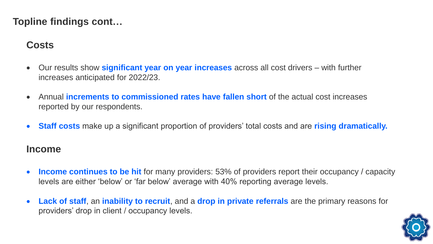#### **Topline findings cont…**

#### **Costs**

- Our results show **significant year on year increases** across all cost drivers with further increases anticipated for 2022/23.
- Annual **increments to commissioned rates have fallen short** of the actual cost increases reported by our respondents.
- **Staff costs** make up a significant proportion of providers' total costs and are **rising dramatically.**

#### **Income**

- **Income continues to be hit** for many providers: 53% of providers report their occupancy / capacity levels are either 'below' or 'far below' average with 40% reporting average levels.
- **Lack of staff**, an **inability to recruit**, and a **drop in private referrals** are the primary reasons for providers' drop in client / occupancy levels.

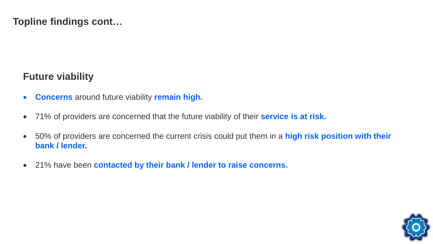**Topline findings cont…**

#### **Future viability**

- **Concerns** around future viability **remain high.**
- 71% of providers are concerned that the future viability of their **service is at risk.**
- 50% of providers are concerned the current crisis could put them in a **high risk position with their bank / lender.**
- 21% have been **contacted by their bank / lender to raise concerns.**

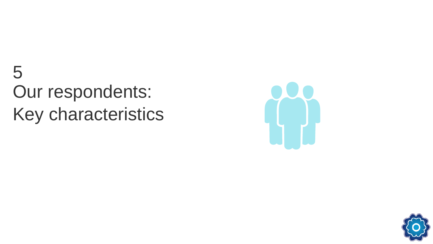## Our respondents: Key characteristics 5



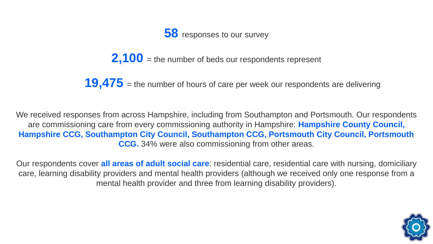

**2,100** = the number of beds our respondents represent

**19,475** = the number of hours of care per week our respondents are delivering

We received responses from across Hampshire, including from Southampton and Portsmouth. Our respondents are commissioning care from every commissioning authority in Hampshire: **Hampshire County Council, Hampshire CCG, Southampton City Council, Southampton CCG, Portsmouth City Council, Portsmouth CCG.** 34% were also commissioning from other areas.

Our respondents cover **all areas of adult social care**: residential care, residential care with nursing, domiciliary care, learning disability providers and mental health providers (although we received only one response from a mental health provider and three from learning disability providers).

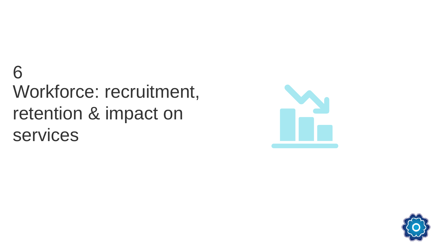## Workforce: recruitment, retention & impact on services 6



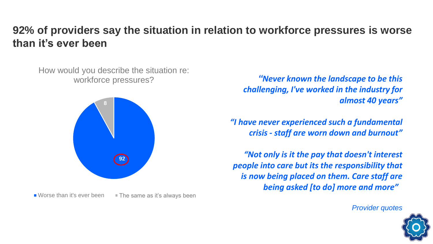#### **92% of providers say the situation in relation to workforce pressures is worse than it's ever been**

How would you describe the situation re: workforce pressures?



Worse than it's ever been  $\blacksquare$  The same as it's always been

*"Never known the landscape to be this challenging, I've worked in the industry for almost 40 years"*

*"I have never experienced such a fundamental crisis - staff are worn down and burnout"*

*"Not only is it the pay that doesn't interest people into care but its the responsibility that is now being placed on them. Care staff are being asked [to do] more and more"*

*Provider quotes*

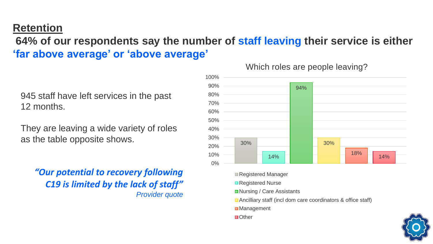#### **Retention**

**64% of our respondents say the number of staff leaving their service is either 'far above average' or 'above average'**

945 staff have left services in the past 12 months.

They are leaving a wide variety of roles as the table opposite shows.

*"Our potential to recovery following C19 is limited by the lack of staff" Provider quote*



Which roles are people leaving?

Registered Manager

- Registered Nurse
- ■Nursing / Care Assistants
- Ancilliary staff (incl dom care coordinators & office staff)
- ■Management
- ■Other

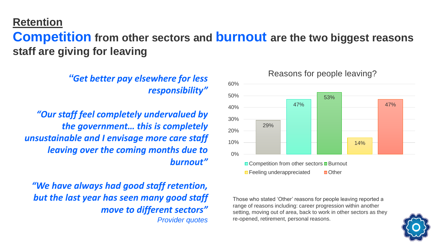#### **Retention**

### **Competition from other sectors and burnout are the two biggest reasons staff are giving for leaving**

*"Get better pay elsewhere for less responsibility"*

*"Our staff feel completely undervalued by the government… this is completely unsustainable and I envisage more care staff leaving over the coming months due to burnout"*

*"We have always had good staff retention, but the last year has seen many good staff move to different sectors" Provider quotes*



Those who stated 'Other' reasons for people leaving reported a range of reasons including: career progression within another setting, moving out of area, back to work in other sectors as they re-opened, retirement, personal reasons.

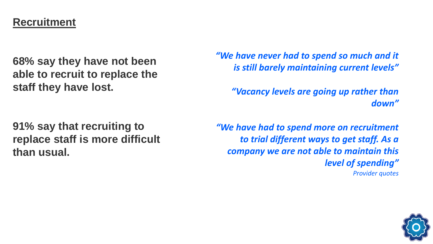#### **Recruitment**

**68% say they have not been able to recruit to replace the staff they have lost.**

*"We have never had to spend so much and it is still barely maintaining current levels"*

*"Vacancy levels are going up rather than down"*

**91% say that recruiting to replace staff is more difficult than usual.**

*"We have had to spend more on recruitment to trial different ways to get staff. As a company we are not able to maintain this level of spending" Provider quotes*

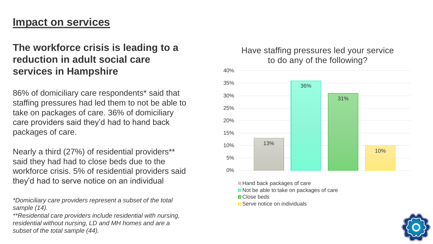#### **Impact on services**

#### **The workforce crisis is leading to a reduction in adult social care services in Hampshire**

86% of domiciliary care respondents\* said that staffing pressures had led them to not be able to take on packages of care. 36% of domiciliary care providers said they'd had to hand back packages of care.

Nearly a third (27%) of residential providers\*\* said they had had to close beds due to the workforce crisis. 5% of residential providers said they'd had to serve notice on an individual

*\*Domiciliary care providers represent a subset of the total sample (14).*

*\*\*Residential care providers include residential with nursing, residential without nursing, LD and MH homes and are a subset of the total sample (44).*

#### Have staffing pressures led your service to do any of the following?



■Hand back packages of care

Not be able to take on packages of care

- **□ Close beds**
- Serve notice on individuals

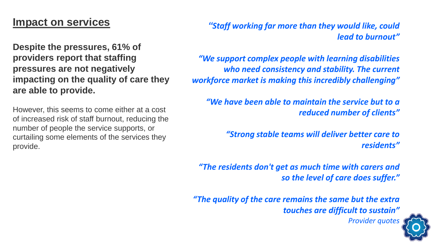#### **Impact on services**

**Despite the pressures, 61% of providers report that staffing pressures are not negatively impacting on the quality of care they are able to provide.** 

However, this seems to come either at a cost of increased risk of staff burnout, reducing the number of people the service supports, or curtailing some elements of the services they provide.

*"Staff working far more than they would like, could lead to burnout"*

*"We support complex people with learning disabilities who need consistency and stability. The current workforce market is making this incredibly challenging"*

*"We have been able to maintain the service but to a reduced number of clients"*

> *"Strong stable teams will deliver better care to residents"*

*"The residents don't get as much time with carers and so the level of care does suffer."*

*"The quality of the care remains the same but the extra touches are difficult to sustain"*



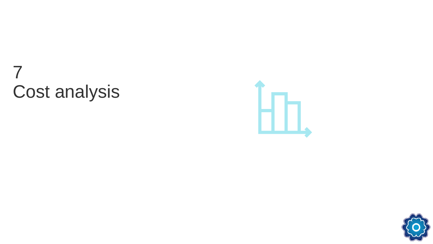## Cost analysis 7



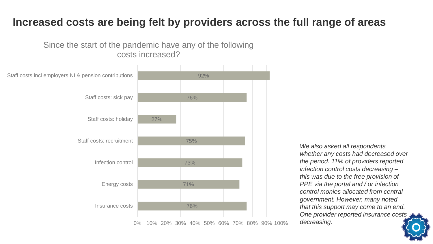#### **Increased costs are being felt by providers across the full range of areas**

Since the start of the pandemic have any of the following costs increased?



*We also asked all respondents whether any costs had decreased over the period. 11% of providers reported infection control costs decreasing – this was due to the free provision of PPE via the portal and / or infection control monies allocated from central government. However, many noted that this support may come to an end. One provider reported insurance costs decreasing.*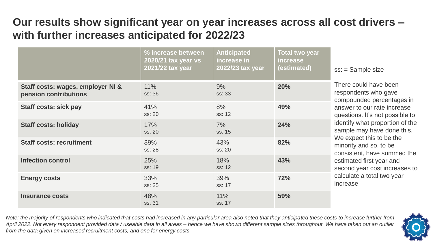### **Our results show significant year on year increases across all cost drivers – with further increases anticipated for 2022/23**

|                                                            | % increase between<br>2020/21 tax year vs<br>2021/22 tax year | <b>Anticipated</b><br>increase in<br>2022/23 tax year | <b>Total two year</b><br><b>increase</b><br>(estimated) | $ss:$ = Sample size                                                                                                                                                                                                                                                                                                                                                                                       |
|------------------------------------------------------------|---------------------------------------------------------------|-------------------------------------------------------|---------------------------------------------------------|-----------------------------------------------------------------------------------------------------------------------------------------------------------------------------------------------------------------------------------------------------------------------------------------------------------------------------------------------------------------------------------------------------------|
| Staff costs: wages, employer NI &<br>pension contributions | 11%<br>ss: 36                                                 | 9%<br>ss: 33                                          | <b>20%</b>                                              | There could have been<br>respondents who gave<br>compounded percentages in<br>answer to our rate increase<br>questions. It's not possible to<br>identify what proportion of the<br>sample may have done this.<br>We expect this to be the<br>minority and so, to be<br>consistent, have summed the<br>estimated first year and<br>second year cost increases to<br>calculate a total two year<br>increase |
| <b>Staff costs: sick pay</b>                               | 41%<br>ss: 20                                                 | 8%<br>ss: 12                                          | 49%                                                     |                                                                                                                                                                                                                                                                                                                                                                                                           |
| <b>Staff costs: holiday</b>                                | 17%<br>ss: 20                                                 | 7%<br>ss: 15                                          | 24%                                                     |                                                                                                                                                                                                                                                                                                                                                                                                           |
| <b>Staff costs: recruitment</b>                            | 39%<br>ss: 28                                                 | 43%<br>ss: 20                                         | 82%                                                     |                                                                                                                                                                                                                                                                                                                                                                                                           |
| <b>Infection control</b>                                   | 25%<br>ss: 19                                                 | 18%<br>ss: 12                                         | 43%                                                     |                                                                                                                                                                                                                                                                                                                                                                                                           |
| <b>Energy costs</b>                                        | 33%<br>ss: 25                                                 | 39%<br>ss: 17                                         | 72%                                                     |                                                                                                                                                                                                                                                                                                                                                                                                           |
| <b>Insurance costs</b>                                     | 48%<br>ss: 31                                                 | 11%<br>ss: 17                                         | 59%                                                     |                                                                                                                                                                                                                                                                                                                                                                                                           |

*Note: the majority of respondents who indicated that costs had increased in any particular area also noted that they anticipated these costs to increase further from April 2022. Not every respondent provided data / useable data in all areas – hence we have shown different sample sizes throughout. We have taken out an outlier from the data given on increased recruitment costs, and one for energy costs.* 

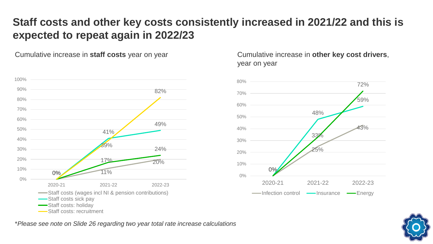### **Staff costs and other key costs consistently increased in 2021/22 and this is expected to repeat again in 2022/23**

Cumulative increase in **staff costs** year on year Cumulative increase in **other key cost drivers**,



year on year



\**Please see note on Slide 26 regarding two year total rate increase calculations*

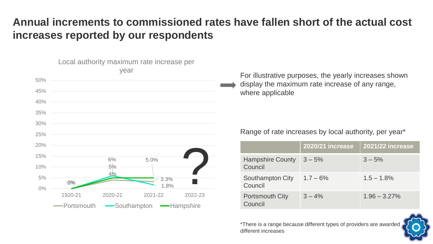### **Annual increments to commissioned rates have fallen short of the actual cost increases reported by our respondents**



For illustrative purposes, the yearly increases shown display the maximum rate increase of any range, where applicable

#### Range of rate increases by local authority, per year\*

|                                    | <b>2020/21 increase</b> | <b>2021/22 increase</b> |
|------------------------------------|-------------------------|-------------------------|
| <b>Hampshire County</b><br>Council | $3 - 5%$                | $3 - 5%$                |
| Southampton City<br>Council        | $1.7 - 6\%$             | $1.5 - 1.8\%$           |
| <b>Portsmouth City</b><br>Council  | $3 - 4\%$               | $1.96 - 3.27\%$         |

\*There is a range because different types of providers are awarded different increases

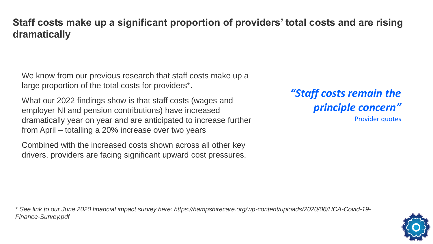#### **Staff costs make up a significant proportion of providers' total costs and are rising dramatically**

We know from our previous research that staff costs make up a large proportion of the total costs for providers\*.

What our 2022 findings show is that staff costs (wages and employer NI and pension contributions) have increased dramatically year on year and are anticipated to increase further from April – totalling a 20% increase over two years

Combined with the increased costs shown across all other key drivers, providers are facing significant upward cost pressures. *"Staff costs remain the principle concern"*

Provider quotes

*\* See link to our June 2020 financial impact survey here: https://hampshirecare.org/wp-content/uploads/2020/06/HCA-Covid-19- Finance-Survey.pdf*

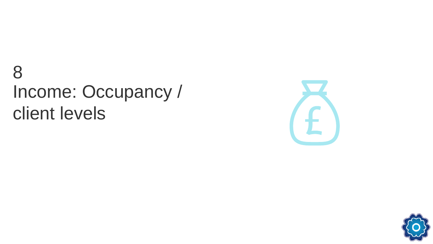## Income: Occupancy / client levels 8



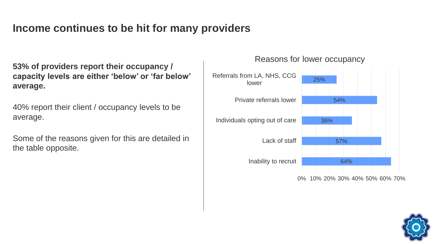### **Income continues to be hit for many providers**

**53% of providers report their occupancy / capacity levels are either 'below' or 'far below' average.** 

40% report their client / occupancy levels to be average.

Some of the reasons given for this are detailed in the table opposite.

#### Reasons for lower occupancy



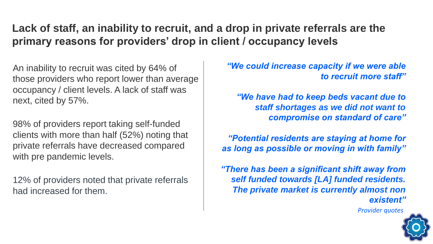### **Lack of staff, an inability to recruit, and a drop in private referrals are the primary reasons for providers' drop in client / occupancy levels**

An inability to recruit was cited by 64% of those providers who report lower than average occupancy / client levels. A lack of staff was next, cited by 57%.

98% of providers report taking self-funded clients with more than half (52%) noting that private referrals have decreased compared with pre pandemic levels.

12% of providers noted that private referrals had increased for them.

*"We could increase capacity if we were able to recruit more staff"*

*"We have had to keep beds vacant due to staff shortages as we did not want to compromise on standard of care"*

*"Potential residents are staying at home for as long as possible or moving in with family"*

*"There has been a significant shift away from self funded towards [LA] funded residents. The private market is currently almost non existent"*

*Provider quotes*

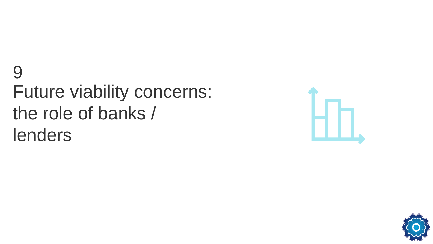## Future viability concerns: the role of banks / lenders 9



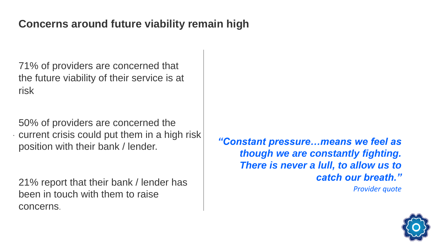#### **Concerns around future viability remain high**

71% of providers are concerned that the future viability of their service is at risk

. current crisis could put them in a high risk 50% of providers are concerned the position with their bank / lender.

21% report that their bank / lender has been in touch with them to raise concerns.

*"Constant pressure…means we feel as though we are constantly fighting. There is never a lull, to allow us to catch our breath."*

*Provider quote*

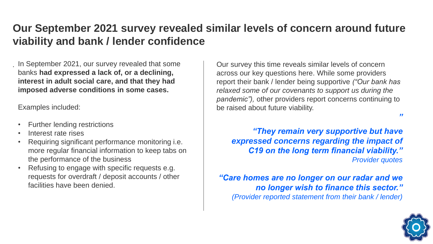### **Our September 2021 survey revealed similar levels of concern around future viability and bank / lender confidence**

*.* In September 2021, our survey revealed that some banks **had expressed a lack of, or a declining, interest in adult social care, and that they had imposed adverse conditions in some cases.** 

Examples included:

- Further lending restrictions
- Interest rate rises
- Requiring significant performance monitoring i.e. more regular financial information to keep tabs on the performance of the business
- Refusing to engage with specific requests e.g. requests for overdraft / deposit accounts / other facilities have been denied.

Our survey this time reveals similar levels of concern across our key questions here. While some providers report their bank / lender being supportive *("Our bank has relaxed some of our covenants to support us during the pandemic"),* other providers report concerns continuing to be raised about future viability.

*"They remain very supportive but have expressed concerns regarding the impact of C19 on the long term financial viability." Provider quotes*

*"Care homes are no longer on our radar and we no longer wish to finance this sector." (Provider reported statement from their bank / lender)*



*"*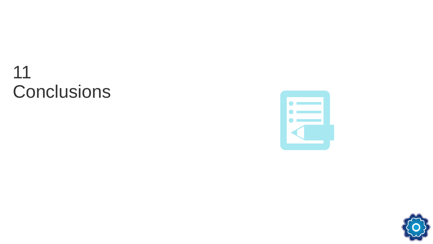

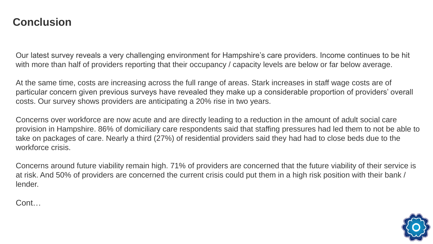Our latest survey reveals a very challenging environment for Hampshire's care providers. Income continues to be hit with more than half of providers reporting that their occupancy / capacity levels are below or far below average.

At the same time, costs are increasing across the full range of areas. Stark increases in staff wage costs are of particular concern given previous surveys have revealed they make up a considerable proportion of providers' overall costs. Our survey shows providers are anticipating a 20% rise in two years.

Concerns over workforce are now acute and are directly leading to a reduction in the amount of adult social care provision in Hampshire. 86% of domiciliary care respondents said that staffing pressures had led them to not be able to take on packages of care. Nearly a third (27%) of residential providers said they had had to close beds due to the workforce crisis.

Concerns around future viability remain high. 71% of providers are concerned that the future viability of their service is at risk. And 50% of providers are concerned the current crisis could put them in a high risk position with their bank / lender.

Cont…

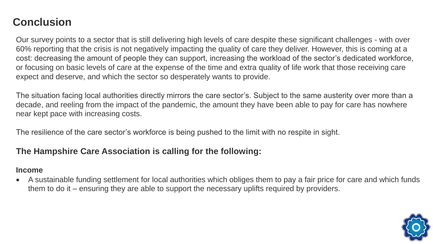Our survey points to a sector that is still delivering high levels of care despite these significant challenges - with over 60% reporting that the crisis is not negatively impacting the quality of care they deliver. However, this is coming at a cost: decreasing the amount of people they can support, increasing the workload of the sector's dedicated workforce, or focusing on basic levels of care at the expense of the time and extra quality of life work that those receiving care expect and deserve, and which the sector so desperately wants to provide.

The situation facing local authorities directly mirrors the care sector's. Subject to the same austerity over more than a decade, and reeling from the impact of the pandemic, the amount they have been able to pay for care has nowhere near kept pace with increasing costs.

The resilience of the care sector's workforce is being pushed to the limit with no respite in sight.

#### **The Hampshire Care Association is calling for the following:**

#### **Income**

• A sustainable funding settlement for local authorities which obliges them to pay a fair price for care and which funds them to do it – ensuring they are able to support the necessary uplifts required by providers.

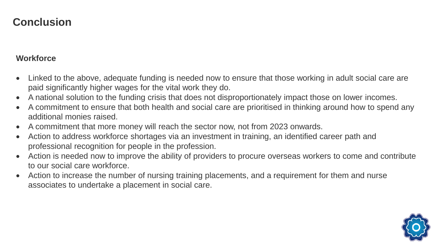#### **Workforce**

- Linked to the above, adequate funding is needed now to ensure that those working in adult social care are paid significantly higher wages for the vital work they do.
- A national solution to the funding crisis that does not disproportionately impact those on lower incomes.
- A commitment to ensure that both health and social care are prioritised in thinking around how to spend any additional monies raised.
- A commitment that more money will reach the sector now, not from 2023 onwards.
- Action to address workforce shortages via an investment in training, an identified career path and professional recognition for people in the profession.
- Action is needed now to improve the ability of providers to procure overseas workers to come and contribute to our social care workforce.
- Action to increase the number of nursing training placements, and a requirement for them and nurse associates to undertake a placement in social care.